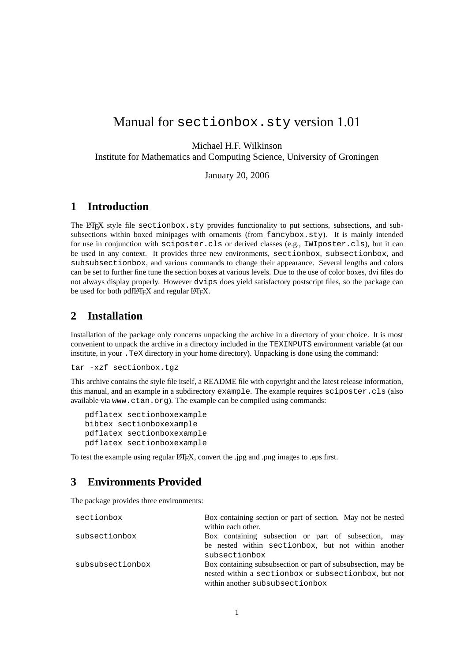# Manual for sectionbox.sty version 1.01

Michael H.F. Wilkinson

Institute for Mathematics and Computing Science, University of Groningen

January 20, 2006

#### **1 Introduction**

The LATEX style file sectionbox.sty provides functionality to put sections, subsections, and subsubsections within boxed minipages with ornaments (from fancybox.sty). It is mainly intended for use in conjunction with sciposter.cls or derived classes (e.g., IWIposter.cls), but it can be used in any context. It provides three new environments, sectionbox, subsectionbox, and subsubsectionbox, and various commands to change their appearance. Several lengths and colors can be set to further fine tune the section boxes at various levels. Due to the use of color boxes, dvi files do not always display properly. However dvips does yield satisfactory postscript files, so the package can be used for both pdfLAT<sub>EX</sub> and regular LAT<sub>EX</sub>.

#### **2 Installation**

Installation of the package only concerns unpacking the archive in a directory of your choice. It is most convenient to unpack the archive in a directory included in the TEXINPUTS environment variable (at our institute, in your .TeX directory in your home directory). Unpacking is done using the command:

tar -xzf sectionbox.tgz

This archive contains the style file itself, a README file with copyright and the latest release information, this manual, and an example in a subdirectory example. The example requires sciposter.cls (also available via www.ctan.org). The example can be compiled using commands:

```
pdflatex sectionboxexample
bibtex sectionboxexample
pdflatex sectionboxexample
pdflatex sectionboxexample
```
To test the example using regular LATEX, convert the .jpg and .png images to .eps first.

## **3 Environments Provided**

The package provides three environments:

| sectionbox       | Box containing section or part of section. May not be nested  |  |
|------------------|---------------------------------------------------------------|--|
|                  | within each other.                                            |  |
| subsectionbox    | Box containing subsection or part of subsection, may          |  |
|                  | be nested within sectionbox, but not within another           |  |
|                  | subsectionbox                                                 |  |
| subsubsectionbox | Box containing subsubsection or part of subsubsection, may be |  |
|                  | nested within a sectionbox or subsectionbox, but not          |  |
|                  | within another subsubsectionbox                               |  |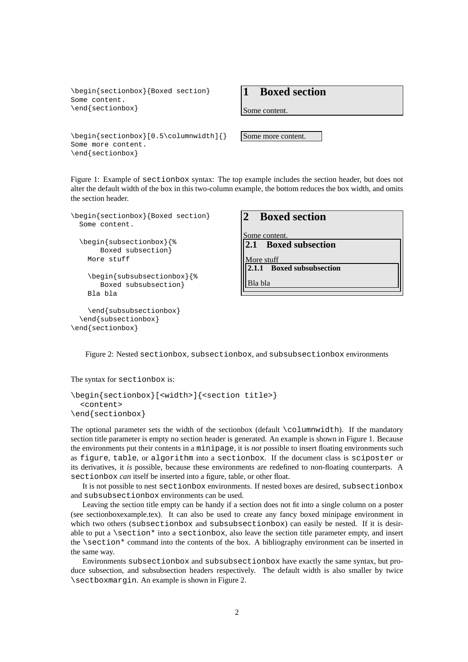```
\begin{sectionbox}{Boxed section}
Some content.
\end{sectionbox}
```

```
\begin{sectionbox}[0.5\columnwidth]{}
Some more content.
\end{sectionbox}
```
**1 Boxed section**

Some content.

Some more content.

Figure 1: Example of sectionbox syntax: The top example includes the section header, but does not alter the default width of the box in this two-column example, the bottom reduces the box width, and omits the section header.

```
\begin{sectionbox}{Boxed section}
  Some content.
  \begin{subsectionbox}{%
       Boxed subsection}
    More stuff
    \begin{subsubsectionbox}{%
      Boxed subsubsection}
    Bla bla
    \end{subsubsectionbox}
  \end{subsectionbox}
```
### **2 Boxed section**

Some content. **2.1 Boxed subsection**

More stuff

**2.1.1 Boxed subsubsection**

Bla bla

Figure 2: Nested sectionbox, subsectionbox, and subsubsectionbox environments

The syntax for sectionbox is:

\end{sectionbox}

```
\begin{sectionbox}[<width>]{<section title>}
  <content>
\end{sectionbox}
```
The optional parameter sets the width of the sectionbox (default \columnwidth). If the mandatory section title parameter is empty no section header is generated. An example is shown in Figure 1. Because the environments put their contents in a minipage, it is *not* possible to insert floating environments such as figure, table, or algorithm into a sectionbox. If the document class is sciposter or its derivatives, it *is* possible, because these environments are redefined to non-floating counterparts. A sectionbox *can* itself be inserted into a figure, table, or other float.

It is not possible to nest sectionbox environments. If nested boxes are desired, subsectionbox and subsubsectionbox environments can be used.

Leaving the section title empty can be handy if a section does not fit into a single column on a poster (see sectionboxexample.tex). It can also be used to create any fancy boxed minipage environment in which two others (subsectionbox and subsubsectionbox) can easily be nested. If it is desirable to put a  $\setminus$  section\* into a sectionbox, also leave the section title parameter empty, and insert the \section\* command into the contents of the box. A bibliography environment can be inserted in the same way.

Environments subsectionbox and subsubsectionbox have exactly the same syntax, but produce subsection, and subsubsection headers respectively. The default width is also smaller by twice \sectboxmargin. An example is shown in Figure 2.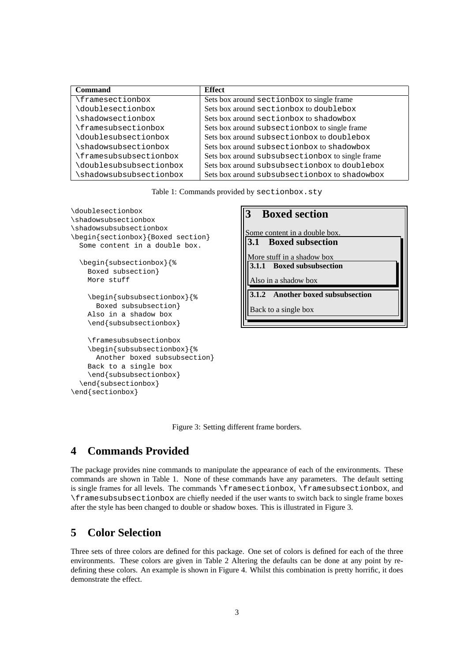| Command                | <b>Effect</b>                                    |  |
|------------------------|--------------------------------------------------|--|
| <i>framesectionbox</i> | Sets box around sectionbox to single frame       |  |
| doublesectionbox       | Sets box around sectionbox to doublebox          |  |
| shadowsectionbox       | Sets box around sectionbox to shadowbox          |  |
| framesubsectionbox     | Sets box around subsectionbox to single frame    |  |
| doublesubsectionbox    | Sets box around subsectionbox to doublebox       |  |
| shadowsubsectionbox    | Sets box around subsectionbox to shadowbox       |  |
| framesubsubsectionbox  | Sets box around subsubsectionbox to single frame |  |
| doublesubsubsectionbox | Sets box around subsubsectionbox to doublebox    |  |
| shadowsubsubsectionbox | Sets box around subsubsectionbox to shadowbox    |  |

Table 1: Commands provided by sectionbox.sty

\doublesectionbox \shadowsubsectionbox \shadowsubsubsectionbox \begin{sectionbox}{Boxed section} Some content in a double box. \begin{subsectionbox}{% Boxed subsection} More stuff \begin{subsubsectionbox}{% Boxed subsubsection} Also in a shadow box \end{subsubsectionbox} \framesubsubsectionbox \begin{subsubsectionbox}{% Another boxed subsubsection} Back to a single box \end{subsubsectionbox} \end{subsectionbox} \end{sectionbox}

#### **3 Boxed section**

Some content in a double box. **3.1 Boxed subsection**

More stuff in a shadow box **3.1.1 Boxed subsubsection**

Also in a shadow box

**3.1.2 Another boxed subsubsection**

Back to a single box

Figure 3: Setting different frame borders.

## **4 Commands Provided**

The package provides nine commands to manipulate the appearance of each of the environments. These commands are shown in Table 1. None of these commands have any parameters. The default setting is single frames for all levels. The commands \framesectionbox, \framesubsectionbox, and \framesubsubsectionbox are chiefly needed if the user wants to switch back to single frame boxes after the style has been changed to double or shadow boxes. This is illustrated in Figure 3.

### **5 Color Selection**

Three sets of three colors are defined for this package. One set of colors is defined for each of the three environments. These colors are given in Table 2 Altering the defaults can be done at any point by redefining these colors. An example is shown in Figure 4. Whilst this combination is pretty horrific, it does demonstrate the effect.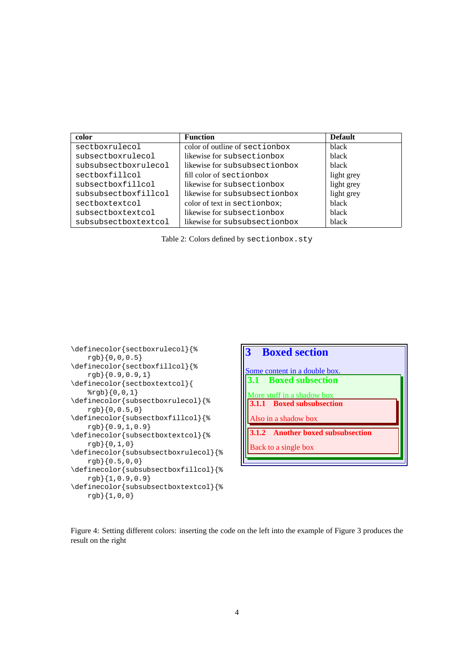| color                | <b>Function</b>                | <b>Default</b> |
|----------------------|--------------------------------|----------------|
| sectboxrulecol       | color of outline of sectionbox | black          |
| subsectboxrulecol    | likewise for subsectionbox     | black          |
| subsubsectboxrulecol | likewise for subsubsectionbox  | black          |
| sectboxfillcol       | fill color of sectionbox       | light grey     |
| subsectboxfillcol    | likewise for subsectionbox     | light grey     |
| subsubsectboxfillcol | likewise for subsubsectionbox  | light grey     |
| sectboxtextcol       | color of text in sectionbox;   | black          |
| subsectboxtextcol    | likewise for subsectionbox     | black          |
| subsubsectboxtextcol | likewise for subsubsectionbox  | black          |

Table 2: Colors defined by sectionbox.sty





Figure 4: Setting different colors: inserting the code on the left into the example of Figure 3 produces the result on the right